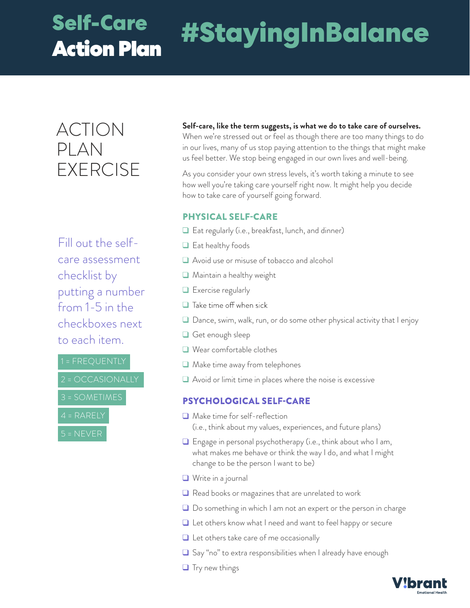# **Self-Care**

## Action Plan **#StayingInBalance**

### ACTION PLAN **FXERCISE**

Fill out the selfcare assessment checklist by putting a number from 1-5 in the checkboxes next to each item.

4 = RARELY

**Self-care, like the term suggests, is what we do to take care of ourselves.**  When we're stressed out or feel as though there are too many things to do

in our lives, many of us stop paying attention to the things that might make us feel better. We stop being engaged in our own lives and well-being.

As you consider your own stress levels, it's worth taking a minute to see how well you're taking care yourself right now. It might help you decide how to take care of yourself going forward.

#### **PHYSICAL SELF-CARE**

- Eat regularly (i.e., breakfast, lunch, and dinner)
- $\Box$  Eat healthy foods
- Avoid use or misuse of tobacco and alcohol
- Maintain a healthy weight
- Exercise regularly
- $\Box$  Take time off when sick
- $\Box$  Dance, swim, walk, run, or do some other physical activity that I enjoy
- Get enough sleep
- Wear comfortable clothes
- Make time away from telephones
- Avoid or limit time in places where the noise is excessive

#### **PSYCHOLOGICAL SELF-CARE**

- Make time for self-reflection (i.e., think about my values, experiences, and future plans)
- Engage in personal psychotherapy (i.e., think about who I am, what makes me behave or think the way I do, and what I might change to be the person I want to be)
- Write in a journal
- Read books or magazines that are unrelated to work
- Do something in which I am not an expert or the person in charge
- Let others know what I need and want to feel happy or secure
- $\Box$  Let others take care of me occasionally
- Say "no" to extra responsibilities when I already have enough
- $\Box$  Try new things

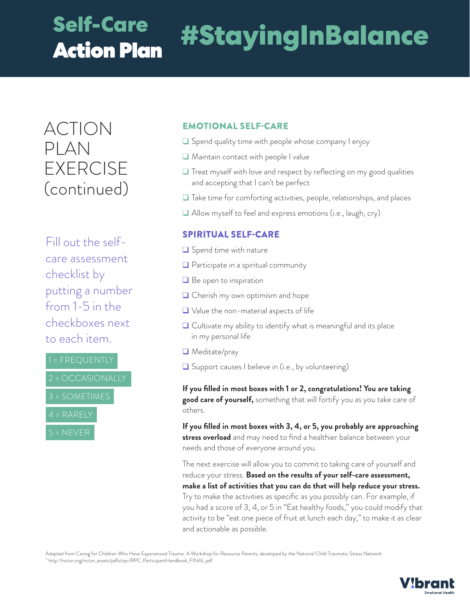### **Self-Care**  Action Plan

## **#StayingInBalance**

ACTION PLAN EXERCISE (continued)

Fill out the selfcare assessment checklist by putting a number from 1-5 in the checkboxes next to each item.

1 = FREQUENTLY



#### **EMOTIONAL SELF-CARE**

- Spend quality time with people whose company I enjoy
- **Maintain contact with people I value**
- **T** Treat myself with love and respect by reflecting on my good qualities and accepting that I can't be perfect
- $\Box$  Take time for comforting activities, people, relationships, and places
- Allow myself to feel and express emotions (i.e., laugh, cry)

#### **SPIRITUAL SELF-CARE**

- $\Box$  Spend time with nature
- **Q** Participate in a spiritual community
- $\Box$  Be open to inspiration
- **□** Cherish my own optimism and hope
- $\Box$  Value the non-material aspects of life
- $\Box$  Cultivate my ability to identify what is meaningful and its place in my personal life
- Meditate/pray
- **Q** Support causes I believe in (i.e., by volunteering)

**If you filled in most boxes with 1 or 2, congratulations! You are taking good care of yourself,** something that will fortify you as you take care of others.

**If you filled in most boxes with 3, 4, or 5, you probably are approaching stress overload** and may need to find a healthier balance between your needs and those of everyone around you.

The next exercise will allow you to commit to taking care of yourself and reduce your stress. **Based on the results of your self-care assessment, make a list of activities that you can do that will help reduce your stress.**  Try to make the activities as specific as you possibly can. For example, if you had a score of 3, 4, or 5 in "Eat healthy foods," you could modify that activity to be "eat one piece of fruit at lunch each day," to make it as clear and actionable as possible.

Adapted from Caring for Children Who Have Experienced Trauma: A Workshop for Resource Parents, developed by the National Child Traumatic Stress Network. <sup>5</sup> http://nctsn.org/nctsn\_assets/pdfs/rpc/RPC\_ParticipantHandbook\_FINAL.pdf